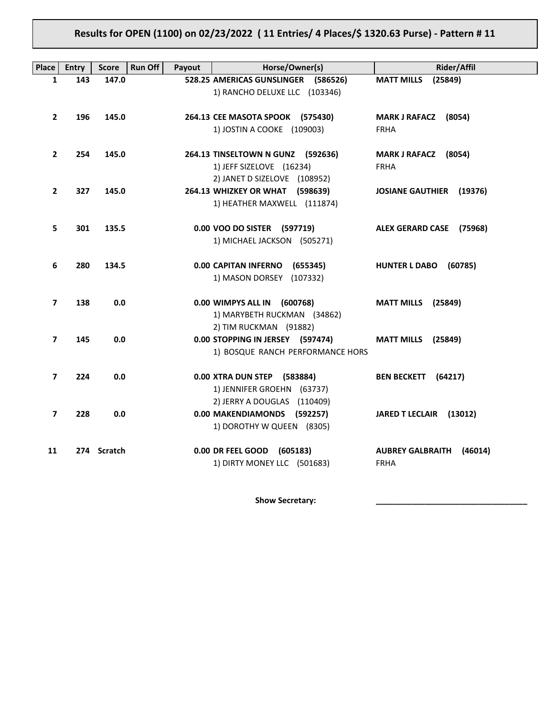# **Results for OPEN (1100) on 02/23/2022 ( 11 Entries/ 4 Places/\$ 1320.63 Purse) - Pattern # 11**

| Place                    | <b>Entry</b> | <b>Score</b> | <b>Run Off</b><br>Payout | Horse/Owner(s)                                                                                 | <b>Rider/Affil</b>                                |
|--------------------------|--------------|--------------|--------------------------|------------------------------------------------------------------------------------------------|---------------------------------------------------|
| 1                        | 143          | 147.0        |                          | 528.25 AMERICAS GUNSLINGER (586526)<br>1) RANCHO DELUXE LLC (103346)                           | <b>MATT MILLS</b><br>(25849)                      |
| $\overline{2}$           | 196          | 145.0        |                          | 264.13 CEE MASOTA SPOOK (575430)<br>1) JOSTIN A COOKE (109003)                                 | MARK J RAFACZ (8054)<br><b>FRHA</b>               |
| $\mathbf{2}$             | 254          | 145.0        |                          | 264.13 TINSELTOWN N GUNZ (592636)<br>1) JEFF SIZELOVE (16234)<br>2) JANET D SIZELOVE (108952)  | MARK J RAFACZ (8054)<br><b>FRHA</b>               |
| $\mathbf{2}$             | 327          | 145.0        |                          | 264.13 WHIZKEY OR WHAT (598639)<br>1) HEATHER MAXWELL (111874)                                 | <b>JOSIANE GAUTHIER</b> (19376)                   |
| 5.                       | 301          | 135.5        |                          | 0.00 VOO DO SISTER (597719)<br>1) MICHAEL JACKSON (505271)                                     | ALEX GERARD CASE (75968)                          |
| 6                        | 280          | 134.5        |                          | 0.00 CAPITAN INFERNO (655345)<br>1) MASON DORSEY (107332)                                      | HUNTER L DABO (60785)                             |
| $\overline{\phantom{a}}$ | 138          | 0.0          |                          | 0.00 WIMPYS ALL IN (600768)<br>1) MARYBETH RUCKMAN (34862)                                     | <b>MATT MILLS</b> (25849)                         |
| 7                        | 145          | 0.0          |                          | 2) TIM RUCKMAN (91882)<br>0.00 STOPPING IN JERSEY (597474)<br>1) BOSQUE RANCH PERFORMANCE HORS | <b>MATT MILLS</b> (25849)                         |
| 7                        | 224          | 0.0          |                          | 0.00 XTRA DUN STEP (583884)<br>1) JENNIFER GROEHN (63737)                                      | BEN BECKETT (64217)                               |
| 7                        | 228          | 0.0          |                          | 2) JERRY A DOUGLAS (110409)<br>0.00 MAKENDIAMONDS (592257)<br>1) DOROTHY W QUEEN (8305)        | JARED T LECLAIR (13012)                           |
| 11                       |              | 274 Scratch  |                          | 0.00 DR FEEL GOOD (605183)<br>1) DIRTY MONEY LLC (501683)                                      | <b>AUBREY GALBRAITH</b><br>(46014)<br><b>FRHA</b> |

Show Secretary: